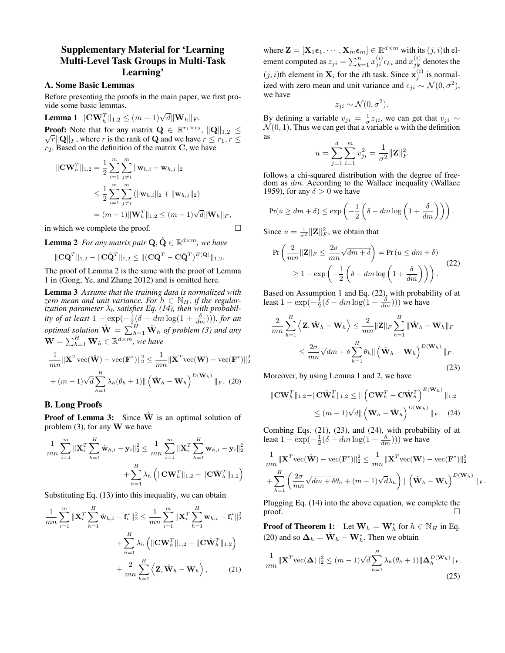## Supplementary Material for 'Learning Multi-Level Task Groups in Multi-Task Learning'

## A. Some Basic Lemmas

Before presenting the proofs in the main paper, we first provide some basic lemmas.

**Lemma 1**  $\|\textbf{CW}_h^T\|_{1,2} \leq (m-1)\sqrt{d} \|\textbf{W}_h\|_F$ . **Proof:** Note that for any matrix  $\mathbf{Q} \in \mathbb{R}^{r_1 \times r_2}$ ,  $\|\mathbf{Q}\|_{1,2} \leq$  $\sqrt{r} \|\mathbf{Q}\|_F$ , where r is the rank of **Q** and we have  $r \leq r_1, r \leq r_2$  $r_2$ . Based on the definition of the matrix C, we have

$$
\|\mathbf{C}\mathbf{W}_{h}^{T}\|_{1,2} = \frac{1}{2} \sum_{i=1}^{m} \sum_{j \neq i}^{m} \|\mathbf{w}_{h,i} - \mathbf{w}_{h,j}\|_{2}
$$
  
\n
$$
\leq \frac{1}{2} \sum_{i=1}^{m} \sum_{j \neq i}^{m} (\|\mathbf{w}_{h,i}\|_{2} + \|\mathbf{w}_{h,j}\|_{2})
$$
  
\n
$$
= (m-1) \|\mathbf{W}_{h}^{T}\|_{1,2} \leq (m-1) \sqrt{d} \|\mathbf{W}_{h}\|_{F},
$$

in which we complete the proof.

**Lemma 2** For any matrix pair  $\mathbf{Q}, \hat{\mathbf{Q}} \in \mathbb{R}^{d \times m}$ , we have

$$
\|{\mathbf C} {\mathbf Q}^T\|_{1,2} - \|{\mathbf C} \hat{{\mathbf Q}}^T\|_{1,2} \le \|({\mathbf C} {\mathbf Q}^T - {\mathbf C} \hat{{\mathbf Q}}^T)^{E({\mathbf Q})}\|_{1,2}.
$$

The proof of Lemma 2 is the same with the proof of Lemma 1 in (Gong, Ye, and Zhang 2012) and is omitted here.

Lemma 3 *Assume that the training data is normalized with zero mean and unit variance. For*  $h \in \mathbb{N}_H$ , *if the regularization parameter*  $\lambda_h$  *satisfies Eq. (14), then with probability of at least*  $1 - \exp(-\frac{1}{2}(\delta - dm \log(1 + \frac{\delta}{dm}))),$  *for an optimal solution*  $\hat{W} = \sum_{h=1}^{H} \hat{W}_h$  *of problem* (3) and any  $\textbf{W} = \sum_{h=1}^{H} \textbf{W}_h \in \mathbb{R}^{d \times m}$ , we have

$$
\frac{1}{mn} \|\mathbf{X}^T \text{vec}(\hat{\mathbf{W}}) - \text{vec}(\mathbf{F}^*)\|_2^2 \le \frac{1}{mn} \|\mathbf{X}^T \text{vec}(\mathbf{W}) - \text{vec}(\mathbf{F}^*)\|_2^2
$$

$$
+ (m-1)\sqrt{d} \sum_{h=1}^H \lambda_h(\theta_h + 1) \| (\hat{\mathbf{W}}_h - \mathbf{W}_h)^{D(\mathbf{W}_h)} \|_F. (20)
$$

## B. Long Proofs

**Proof of Lemma 3:** Since  $\hat{W}$  is an optimal solution of problem  $(3)$ , for any W we have

$$
\frac{1}{mn} \sum_{i=1}^{m} \|\mathbf{X}_{i}^{T}\sum_{h=1}^{H} \hat{\mathbf{w}}_{h,i} - \mathbf{y}_{i}\|_{2}^{2} \leq \frac{1}{mn} \sum_{i=1}^{m} \|\mathbf{X}_{i}^{T}\sum_{h=1}^{H} \mathbf{w}_{h,i} - \mathbf{y}_{i}\|_{2}^{2} + \sum_{h=1}^{H} \lambda_{h} \left( \|\mathbf{C}\mathbf{W}_{h}^{T}\|_{1,2} - \|\mathbf{C}\hat{\mathbf{W}}_{h}^{T}\|_{1,2} \right)
$$

Substituting Eq. (13) into this inequality, we can obtain

$$
\frac{1}{mn} \sum_{i=1}^{m} \|\mathbf{X}_{i}^{T}\sum_{h=1}^{H} \hat{\mathbf{w}}_{h,i} - \mathbf{f}_{i}^{*}\|_{2}^{2} \leq \frac{1}{mn} \sum_{i=1}^{m} \|\mathbf{X}_{i}^{T}\sum_{h=1}^{H} \mathbf{w}_{h,i} - \mathbf{f}_{i}^{*}\|_{2}^{2} + \sum_{h=1}^{H} \lambda_{h} \left( \|\mathbf{C}\mathbf{W}_{h}^{T}\|_{1,2} - \|\mathbf{C}\hat{\mathbf{W}}_{h}^{T}\|_{1,2} \right) + \frac{2}{mn} \sum_{h=1}^{H} \left\langle \mathbf{Z}, \hat{\mathbf{W}}_{h} - \mathbf{W}_{h} \right\rangle, \tag{21}
$$

where  $\mathbf{Z} = [\mathbf{X}_1 \boldsymbol{\epsilon}_1, \cdots, \mathbf{X}_m \boldsymbol{\epsilon}_m] \in \mathbb{R}^{d \times m}$  with its  $(j, i)$ th element computed as  $z_{ji} = \sum_{k=1}^n x_{ji}^{(i)} \epsilon_{ki}$  and  $x_{jk}^{(i)}$  denotes the  $(j, i)$ th element in  $\mathbf{X}_i$  for the *i*th task. Since  $\mathbf{x}_j^{(i)}$  is normalized with zero mean and unit variance and  $\epsilon_{ji} \sim \mathcal{N}(0, \sigma^2)$ , we have

$$
z_{ji} \sim \mathcal{N}(0, \sigma^2).
$$

By defining a variable  $v_{ji} = \frac{1}{\sigma} z_{ji}$ , we can get that  $v_{ji} \sim$  $\mathcal{N}(0, 1)$ . Thus we can get that a variable u with the definition as

$$
u = \sum_{j=1}^{d} \sum_{i=1}^{m} v_{ji}^{2} = \frac{1}{\sigma^{2}} ||\mathbf{Z}||_{F}^{2}
$$

follows a chi-squared distribution with the degree of freedom as  $dm$ . According to the Wallace inequality (Wallace 1959), for any  $\delta > 0$  we have

$$
\Pr(u \ge dm + \delta) \le \exp\left(-\frac{1}{2}\left(\delta - dm\log\left(1 + \frac{\delta}{dm}\right)\right)\right).
$$

Since  $u = \frac{1}{\sigma^2} ||\mathbf{Z}||_F^2$ , we obtain that

$$
\Pr\left(\frac{2}{mn}\|\mathbf{Z}\|_{F}\leq\frac{2\sigma}{mn}\sqrt{dm+\delta}\right) = \Pr\left(u\leq dm+\delta\right)
$$

$$
\geq 1 - \exp\left(-\frac{1}{2}\left(\delta - dm\log\left(1+\frac{\delta}{dm}\right)\right)\right). \tag{22}
$$

Based on Assumption 1 and Eq. (22), with probability of at least  $1 - \exp(-\frac{1}{2}(\delta - dm \log(1 + \frac{\delta}{dm})))$  we have

$$
\frac{2}{mn} \sum_{h=1}^{H} \left\langle \mathbf{Z}, \hat{\mathbf{W}}_h - \mathbf{W}_h \right\rangle \leq \frac{2}{mn} \|\mathbf{Z}\|_F \sum_{h=1}^{H} \|\hat{\mathbf{W}}_h - \mathbf{W}_h\|_F
$$
  

$$
\leq \frac{2\sigma}{mn} \sqrt{dm + \delta} \sum_{h=1}^{H} \theta_h ||\left(\hat{\mathbf{W}}_h - \mathbf{W}_h\right)^{D(\mathbf{W}_h)}\|_F.
$$
(23)

Moreover, by using Lemma 1 and 2, we have

$$
\|\mathbf{C}\mathbf{W}_{h}^{T}\|_{1,2} - \|\mathbf{C}\hat{\mathbf{W}}_{h}^{T}\|_{1,2} \leq \|\left(\mathbf{C}\mathbf{W}_{h}^{T} - \mathbf{C}\hat{\mathbf{W}}_{h}^{T}\right)^{E(\mathbf{W}_{h})}\|_{1,2}
$$
  

$$
\leq (m-1)\sqrt{d}\|\left(\mathbf{W}_{h} - \hat{\mathbf{W}}_{h}\right)^{D(\mathbf{W}_{h})}\|_{F}.
$$
 (24)

Combing Eqs. (21), (23), and (24), with probability of at least  $1 - \exp(-\frac{1}{2}(\delta - dm \log(1 + \frac{\delta}{dm})))$  we have

$$
\frac{1}{mn} ||\mathbf{X}^T \text{vec}(\hat{\mathbf{W}}) - \text{vec}(\mathbf{F}^*)||_2^2 \le \frac{1}{mn} ||\mathbf{X}^T \text{vec}(\mathbf{W}) - \text{vec}(\mathbf{F}^*)||_2^2
$$

$$
+ \sum_{h=1}^H \left( \frac{2\sigma}{mn} \sqrt{dm + \delta} \theta_h + (m-1) \sqrt{d} \lambda_h \right) || (\hat{\mathbf{W}}_h - \mathbf{W}_h)^{D(\mathbf{W}_h)} ||_F.
$$

Plugging Eq. (14) into the above equation, we complete the proof.  $\Box$ 

**Proof of Theorem 1:** Let  $\mathbf{W}_h = \mathbf{W}_h^*$  for  $h \in \mathbb{N}_H$  in Eq. (20) and so  $\mathbf{\Delta}_h = \hat{\mathbf{W}}_h - \mathbf{W}_h^*$ . Then we obtain

$$
\frac{1}{mn} \|\mathbf{X}^T \text{vec}(\boldsymbol{\Delta})\|_2^2 \le (m-1)\sqrt{d} \sum_{h=1}^H \lambda_h(\theta_h+1) \|\boldsymbol{\Delta}_h^{D(\mathbf{W}_h)}\|_F.
$$
\n(25)